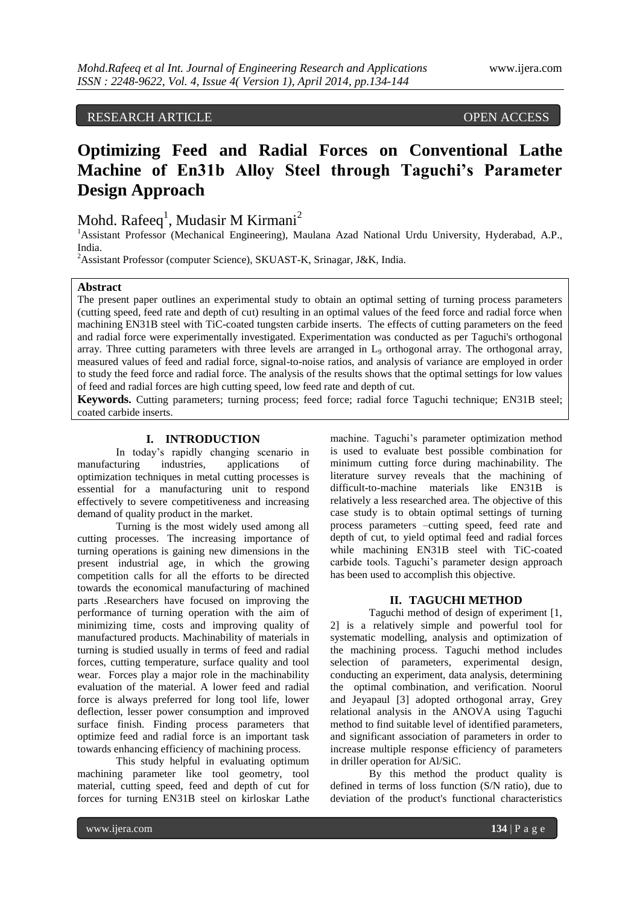# RESEARCH ARTICLE OPEN ACCESS

# **Optimizing Feed and Radial Forces on Conventional Lathe Machine of En31b Alloy Steel through Taguchi's Parameter Design Approach**

# Mohd. Rafeeq<sup>1</sup>, Mudasir M Kirmani<sup>2</sup>

<sup>1</sup> Assistant Professor (Mechanical Engineering), Maulana Azad National Urdu University, Hyderabad, A.P., India.

<sup>2</sup> Assistant Professor (computer Science), SKUAST-K, Srinagar, J&K, India.

## **Abstract**

The present paper outlines an experimental study to obtain an optimal setting of turning process parameters (cutting speed, feed rate and depth of cut) resulting in an optimal values of the feed force and radial force when machining EN31B steel with TiC-coated tungsten carbide inserts. The effects of cutting parameters on the feed and radial force were experimentally investigated. Experimentation was conducted as per Taguchi's orthogonal array. Three cutting parameters with three levels are arranged in  $L<sub>9</sub>$  orthogonal array. The orthogonal array, measured values of feed and radial force, signal-to-noise ratios, and analysis of variance are employed in order to study the feed force and radial force. The analysis of the results shows that the optimal settings for low values of feed and radial forces are high cutting speed, low feed rate and depth of cut.

**Keywords.** Cutting parameters; turning process; feed force; radial force Taguchi technique; EN31B steel; coated carbide inserts.

#### **I. INTRODUCTION**

In today's rapidly changing scenario in manufacturing industries, applications of optimization techniques in metal cutting processes is essential for a manufacturing unit to respond effectively to severe competitiveness and increasing demand of quality product in the market.

Turning is the most widely used among all cutting processes. The increasing importance of turning operations is gaining new dimensions in the present industrial age, in which the growing competition calls for all the efforts to be directed towards the economical manufacturing of machined parts .Researchers have focused on improving the performance of turning operation with the aim of minimizing time, costs and improving quality of manufactured products. Machinability of materials in turning is studied usually in terms of feed and radial forces, cutting temperature, surface quality and tool wear. Forces play a major role in the machinability evaluation of the material. A lower feed and radial force is always preferred for long tool life, lower deflection, lesser power consumption and improved surface finish. Finding process parameters that optimize feed and radial force is an important task towards enhancing efficiency of machining process.

This study helpful in evaluating optimum machining parameter like tool geometry, tool material, cutting speed, feed and depth of cut for forces for turning EN31B steel on kirloskar Lathe machine. Taguchi's parameter optimization method is used to evaluate best possible combination for minimum cutting force during machinability. The literature survey reveals that the machining of difficult-to-machine materials like EN31B is relatively a less researched area. The objective of this case study is to obtain optimal settings of turning process parameters –cutting speed, feed rate and depth of cut, to yield optimal feed and radial forces while machining EN31B steel with TiC-coated carbide tools. Taguchi's parameter design approach has been used to accomplish this objective.

#### **II. TAGUCHI METHOD**

Taguchi method of design of experiment [1, 2] is a relatively simple and powerful tool for systematic modelling, analysis and optimization of the machining process. Taguchi method includes selection of parameters, experimental design, conducting an experiment, data analysis, determining the optimal combination, and verification. Noorul and Jeyapaul [3] adopted orthogonal array, Grey relational analysis in the ANOVA using Taguchi method to find suitable level of identified parameters, and significant association of parameters in order to increase multiple response efficiency of parameters in driller operation for Al/SiC.

By this method the product quality is defined in terms of loss function (S/N ratio), due to deviation of the product's functional characteristics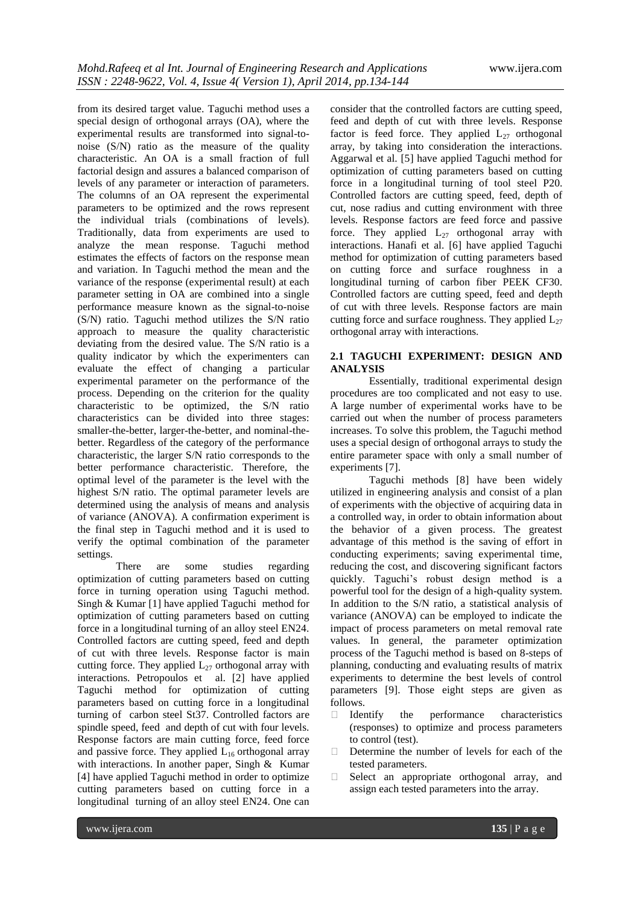from its desired target value. Taguchi method uses a special design of orthogonal arrays (OA), where the experimental results are transformed into signal-tonoise (S/N) ratio as the measure of the quality characteristic. An OA is a small fraction of full factorial design and assures a balanced comparison of levels of any parameter or interaction of parameters. The columns of an OA represent the experimental parameters to be optimized and the rows represent the individual trials (combinations of levels). Traditionally, data from experiments are used to analyze the mean response. Taguchi method estimates the effects of factors on the response mean and variation. In Taguchi method the mean and the variance of the response (experimental result) at each parameter setting in OA are combined into a single performance measure known as the signal-to-noise (S/N) ratio. Taguchi method utilizes the S/N ratio approach to measure the quality characteristic deviating from the desired value. The S/N ratio is a quality indicator by which the experimenters can evaluate the effect of changing a particular experimental parameter on the performance of the process. Depending on the criterion for the quality characteristic to be optimized, the S/N ratio characteristics can be divided into three stages: smaller-the-better, larger-the-better, and nominal-thebetter. Regardless of the category of the performance characteristic, the larger S/N ratio corresponds to the better performance characteristic. Therefore, the optimal level of the parameter is the level with the highest S/N ratio. The optimal parameter levels are determined using the analysis of means and analysis of variance (ANOVA). A confirmation experiment is the final step in Taguchi method and it is used to verify the optimal combination of the parameter settings.

There are some studies regarding optimization of cutting parameters based on cutting force in turning operation using Taguchi method. Singh & Kumar [1] have applied Taguchi method for optimization of cutting parameters based on cutting force in a longitudinal turning of an alloy steel EN24. Controlled factors are cutting speed, feed and depth of cut with three levels. Response factor is main cutting force. They applied  $L_{27}$  orthogonal array with interactions. Petropoulos et al. [2] have applied Taguchi method for optimization of cutting parameters based on cutting force in a longitudinal turning of carbon steel St37. Controlled factors are spindle speed, feed and depth of cut with four levels. Response factors are main cutting force, feed force and passive force. They applied  $L_{16}$  orthogonal array with interactions. In another paper, Singh & Kumar [4] have applied Taguchi method in order to optimize cutting parameters based on cutting force in a longitudinal turning of an alloy steel EN24. One can

consider that the controlled factors are cutting speed, feed and depth of cut with three levels. Response factor is feed force. They applied  $L_{27}$  orthogonal array, by taking into consideration the interactions. Aggarwal et al. [5] have applied Taguchi method for optimization of cutting parameters based on cutting force in a longitudinal turning of tool steel P20. Controlled factors are cutting speed, feed, depth of cut, nose radius and cutting environment with three levels. Response factors are feed force and passive force. They applied  $L_{27}$  orthogonal array with interactions. Hanafi et al. [6] have applied Taguchi method for optimization of cutting parameters based on cutting force and surface roughness in a longitudinal turning of carbon fiber PEEK CF30. Controlled factors are cutting speed, feed and depth of cut with three levels. Response factors are main cutting force and surface roughness. They applied  $L_{27}$ orthogonal array with interactions.

## **2.1 TAGUCHI EXPERIMENT: DESIGN AND ANALYSIS**

Essentially, traditional experimental design procedures are too complicated and not easy to use. A large number of experimental works have to be carried out when the number of process parameters increases. To solve this problem, the Taguchi method uses a special design of orthogonal arrays to study the entire parameter space with only a small number of experiments [7].

Taguchi methods [8] have been widely utilized in engineering analysis and consist of a plan of experiments with the objective of acquiring data in a controlled way, in order to obtain information about the behavior of a given process. The greatest advantage of this method is the saving of effort in conducting experiments; saving experimental time, reducing the cost, and discovering significant factors quickly. Taguchi's robust design method is a powerful tool for the design of a high-quality system. In addition to the S/N ratio, a statistical analysis of variance (ANOVA) can be employed to indicate the impact of process parameters on metal removal rate values. In general, the parameter optimization process of the Taguchi method is based on 8-steps of planning, conducting and evaluating results of matrix experiments to determine the best levels of control parameters [9]. Those eight steps are given as follows.

- $\Box$  Identify the performance characteristics (responses) to optimize and process parameters to control (test).
- Determine the number of levels for each of the tested parameters.
- $\Box$  Select an appropriate orthogonal array, and assign each tested parameters into the array.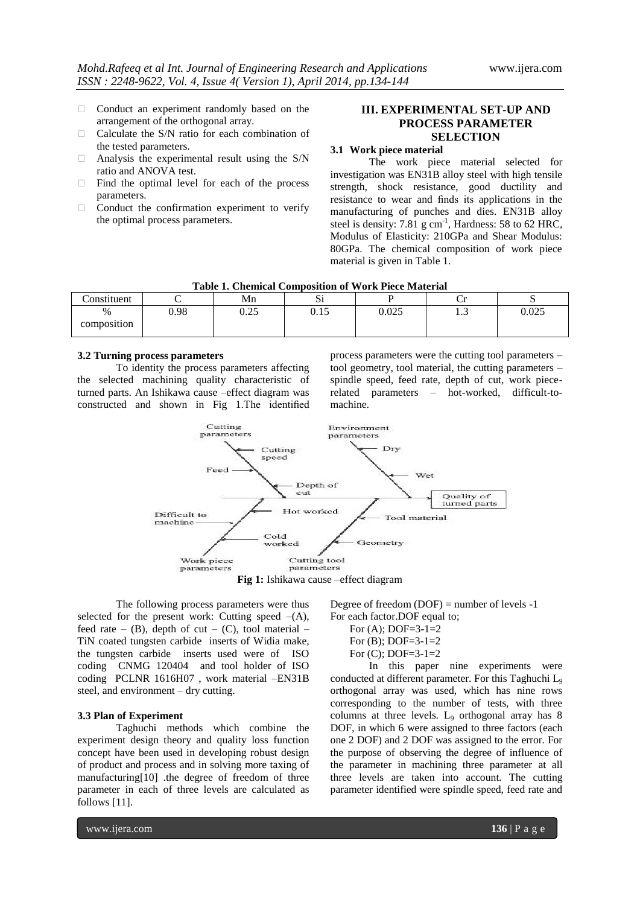- $\Box$  Conduct an experiment randomly based on the arrangement of the orthogonal array.
- $\Box$  Calculate the S/N ratio for each combination of the tested parameters.
- $\Box$  Analysis the experimental result using the S/N ratio and ANOVA test.
- $\Box$  Find the optimal level for each of the process parameters.
- $\Box$  Conduct the confirmation experiment to verify the optimal process parameters.

# **III. EXPERIMENTAL SET-UP AND PROCESS PARAMETER SELECTION**

#### **3.1 Work piece material**

The work piece material selected for investigation was EN31B alloy steel with high tensile strength, shock resistance, good ductility and resistance to wear and finds its applications in the manufacturing of punches and dies. EN31B alloy steel is density:  $7.81 \text{ g cm}^{-1}$ , Hardness: 58 to 62 HRC, Modulus of Elasticity: 210GPa and Shear Modulus: 80GPa. The chemical composition of work piece material is given in Table 1.

| Table 1. Chemical Composition of Work Fiece Material |      |       |        |       |   |                   |  |  |
|------------------------------------------------------|------|-------|--------|-------|---|-------------------|--|--|
| onstituent                                           |      | Mn    |        |       |   |                   |  |  |
| $\frac{0}{0}$                                        | 1.98 | ل ⊿.∪ | U. I J | 0.025 | ر | $\Omega$<br>J.UZE |  |  |
| composition                                          |      |       |        |       |   |                   |  |  |

**Table 1. Chemical Composition of Work Piece Material**

#### **3.2 Turning process parameters**

To identity the process parameters affecting the selected machining quality characteristic of turned parts. An Ishikawa cause –effect diagram was constructed and shown in Fig 1.The identified process parameters were the cutting tool parameters – tool geometry, tool material, the cutting parameters – spindle speed, feed rate, depth of cut, work piecerelated parameters – hot-worked, difficult-tomachine.



**Fig 1:** Ishikawa cause –effect diagram

The following process parameters were thus selected for the present work: Cutting speed  $-(A)$ , feed rate – (B), depth of cut – (C), tool material – TiN coated tungsten carbide inserts of Widia make, the tungsten carbide inserts used were of ISO coding CNMG 120404 and tool holder of ISO coding PCLNR 1616H07 , work material –EN31B steel, and environment – dry cutting.

#### **3.3 Plan of Experiment**

Taghuchi methods which combine the experiment design theory and quality loss function concept have been used in developing robust design of product and process and in solving more taxing of manufacturing[10] .the degree of freedom of three parameter in each of three levels are calculated as follows [11].

Degree of freedom  $(DOF)$  = number of levels -1 For each factor.DOF equal to;

- For  $(A)$ ; DOF=3-1=2
- For  $(B)$ ; DOF=3-1=2
- For (C); DOF=3-1=2

In this paper nine experiments were conducted at different parameter. For this Taghuchi L<sub>9</sub> orthogonal array was used, which has nine rows corresponding to the number of tests, with three columns at three levels.  $L_9$  orthogonal array has 8 DOF, in which 6 were assigned to three factors (each one 2 DOF) and 2 DOF was assigned to the error. For the purpose of observing the degree of influence of the parameter in machining three parameter at all three levels are taken into account. The cutting parameter identified were spindle speed, feed rate and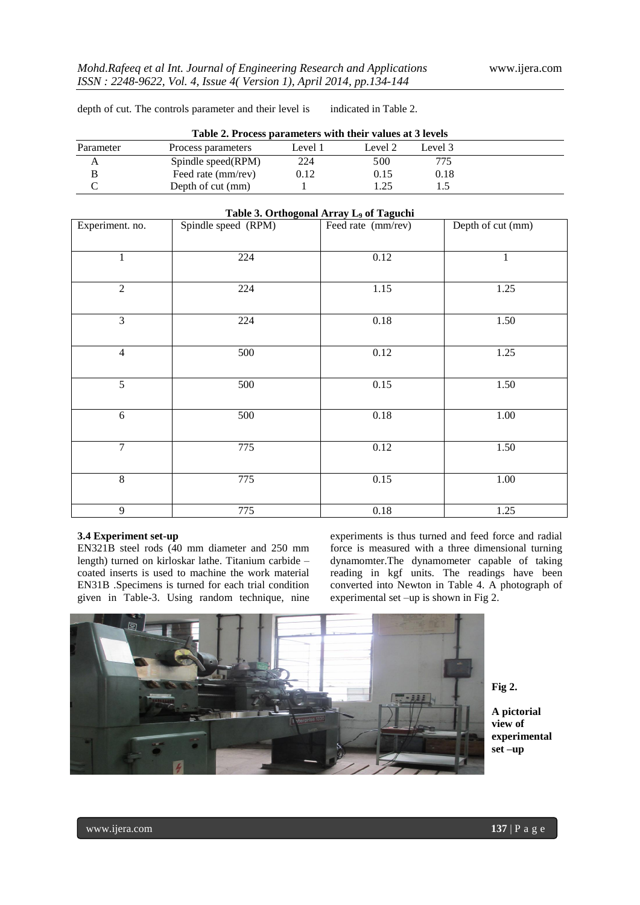depth of cut. The controls parameter and their level is indicated in Table 2.

| Table 2. Process parameters with their values at 3 levels |                    |         |         |         |  |  |
|-----------------------------------------------------------|--------------------|---------|---------|---------|--|--|
| Parameter                                                 | Process parameters | Level 1 | Level 2 | Level 3 |  |  |
|                                                           | Spindle speed(RPM) | 224     | 500     | 775     |  |  |
|                                                           | Feed rate (mm/rev) | 0.12    | 0.15    | 0.18    |  |  |
|                                                           | Depth of cut (mm)  |         | 1つち     |         |  |  |

| Table 3. Orthogonal Array L <sub>9</sub> of Taguchi |                     |                    |                   |  |  |  |  |  |
|-----------------------------------------------------|---------------------|--------------------|-------------------|--|--|--|--|--|
| Experiment. no.                                     | Spindle speed (RPM) | Feed rate (mm/rev) | Depth of cut (mm) |  |  |  |  |  |
| $\mathbf{1}$                                        | 224                 | 0.12               | $\mathbf{1}$      |  |  |  |  |  |
| $\overline{2}$                                      | 224                 | 1.15               | 1.25              |  |  |  |  |  |
| 3                                                   | 224                 | $0.18\,$           | 1.50              |  |  |  |  |  |
| $\overline{4}$                                      | 500                 | 0.12               | 1.25              |  |  |  |  |  |
| $\overline{5}$                                      | 500                 | 0.15               | 1.50              |  |  |  |  |  |
| 6                                                   | 500                 | 0.18               | 1.00              |  |  |  |  |  |
| $\overline{7}$                                      | 775                 | $0.12\,$           | 1.50              |  |  |  |  |  |
| $\,8\,$                                             | 775                 | 0.15               | 1.00              |  |  |  |  |  |
| 9                                                   | 775                 | $0.18\,$           | 1.25              |  |  |  |  |  |

#### **3.4 Experiment set-up**

EN321B steel rods (40 mm diameter and 250 mm length) turned on kirloskar lathe. Titanium carbide – coated inserts is used to machine the work material EN31B .Specimens is turned for each trial condition given in Table-3. Using random technique, nine

experiments is thus turned and feed force and radial force is measured with a three dimensional turning dynamomter.The dynamometer capable of taking reading in kgf units. The readings have been converted into Newton in Table 4. A photograph of experimental set –up is shown in Fig 2.



**Fig 2.** 

**A pictorial view of experimental set –up**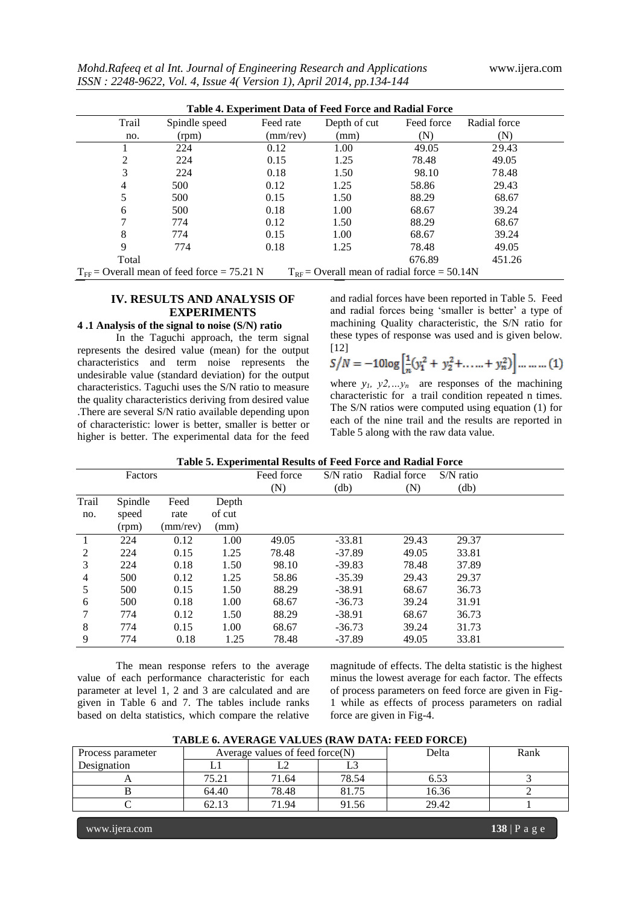| Table 4. Experiment Data of Feed Force and Radial Force                                                    |               |           |              |            |              |  |  |
|------------------------------------------------------------------------------------------------------------|---------------|-----------|--------------|------------|--------------|--|--|
| Trail                                                                                                      | Spindle speed | Feed rate | Depth of cut | Feed force | Radial force |  |  |
| no.                                                                                                        | (rpm)         | (mm/rev)  | (mm)         | (N)        | (N)          |  |  |
|                                                                                                            | 224           | 0.12      | 1.00         | 49.05      | 29.43        |  |  |
| 2                                                                                                          | 224           | 0.15      | 1.25         | 78.48      | 49.05        |  |  |
| 3                                                                                                          | 224           | 0.18      | 1.50         | 98.10      | 78.48        |  |  |
| 4                                                                                                          | 500           | 0.12      | 1.25         | 58.86      | 29.43        |  |  |
| 5                                                                                                          | 500           | 0.15      | 1.50         | 88.29      | 68.67        |  |  |
| 6                                                                                                          | 500           | 0.18      | 1.00         | 68.67      | 39.24        |  |  |
|                                                                                                            | 774           | 0.12      | 1.50         | 88.29      | 68.67        |  |  |
| 8                                                                                                          | 774           | 0.15      | 1.00         | 68.67      | 39.24        |  |  |
| 9                                                                                                          | 774           | 0.18      | 1.25         | 78.48      | 49.05        |  |  |
| Total                                                                                                      |               |           |              | 676.89     | 451.26       |  |  |
| $T_{\text{FE}}$ = Overall mean of feed force = 75.21 N<br>$T_{RF}$ = Overall mean of radial force = 50.14N |               |           |              |            |              |  |  |

# **IV. RESULTS AND ANALYSIS OF**

#### **EXPERIMENTS 4 .1 Analysis of the signal to noise (S/N) ratio**

In the Taguchi approach, the term signal represents the desired value (mean) for the output characteristics and term noise represents the undesirable value (standard deviation) for the output characteristics. Taguchi uses the S/N ratio to measure the quality characteristics deriving from desired value .There are several S/N ratio available depending upon of characteristic: lower is better, smaller is better or higher is better. The experimental data for the feed

and radial forces have been reported in Table 5. Feed and radial forces being 'smaller is better' a type of machining Quality characteristic, the S/N ratio for these types of response was used and is given below. [12]

$$
S/N = -10\log\left[\frac{1}{n}(y_1^2 + y_2^2 + \dots + y_n^2)\right] \dots \dots \dots (1)
$$

where  $y_1$ ,  $y_2$ ,  $y_2$ ,  $y_n$  are responses of the machining characteristic for a trail condition repeated n times. The S/N ratios were computed using equation (1) for each of the nine trail and the results are reported in Table 5 along with the raw data value.

|                | Table 5. Experimental Results of Feed Force and Radial Force |          |        |            |           |              |               |  |  |
|----------------|--------------------------------------------------------------|----------|--------|------------|-----------|--------------|---------------|--|--|
|                | Factors                                                      |          |        | Feed force | S/N ratio | Radial force | $S/N$ ratio   |  |  |
|                |                                                              |          |        | (N)        | (db)      | (N)          | $\text{(db)}$ |  |  |
| Trail          | Spindle                                                      | Feed     | Depth  |            |           |              |               |  |  |
| no.            | speed                                                        | rate     | of cut |            |           |              |               |  |  |
|                | (rpm)                                                        | (mm/rev) | (mm)   |            |           |              |               |  |  |
|                | 224                                                          | 0.12     | 1.00   | 49.05      | $-33.81$  | 29.43        | 29.37         |  |  |
| $\overline{2}$ | 224                                                          | 0.15     | 1.25   | 78.48      | $-37.89$  | 49.05        | 33.81         |  |  |
| 3              | 224                                                          | 0.18     | 1.50   | 98.10      | $-39.83$  | 78.48        | 37.89         |  |  |
| 4              | 500                                                          | 0.12     | 1.25   | 58.86      | $-35.39$  | 29.43        | 29.37         |  |  |
| 5              | 500                                                          | 0.15     | 1.50   | 88.29      | $-38.91$  | 68.67        | 36.73         |  |  |
| 6              | 500                                                          | 0.18     | 1.00   | 68.67      | $-36.73$  | 39.24        | 31.91         |  |  |
|                | 774                                                          | 0.12     | 1.50   | 88.29      | $-38.91$  | 68.67        | 36.73         |  |  |
| 8              | 774                                                          | 0.15     | 1.00   | 68.67      | $-36.73$  | 39.24        | 31.73         |  |  |
| 9              | 774                                                          | 0.18     | 1.25   | 78.48      | $-37.89$  | 49.05        | 33.81         |  |  |

**Table 5. Experimental Results of Feed Force and Radial Force**

The mean response refers to the average value of each performance characteristic for each parameter at level 1, 2 and 3 are calculated and are given in Table 6 and 7. The tables include ranks based on delta statistics, which compare the relative

magnitude of effects. The delta statistic is the highest minus the lowest average for each factor. The effects of process parameters on feed force are given in Fig-1 while as effects of process parameters on radial force are given in Fig-4.

| TADLE 0. AVERAGE VALUES (RAW DATA, FEED FORCE) |                                    |       |       |       |      |  |  |  |
|------------------------------------------------|------------------------------------|-------|-------|-------|------|--|--|--|
| Process parameter                              | Average values of feed force $(N)$ |       |       | Delta | Rank |  |  |  |
| Designation                                    |                                    |       |       |       |      |  |  |  |
|                                                | 75.21                              | 71.64 | 78.54 |       |      |  |  |  |
|                                                | 64.40                              | 78.48 | 81.75 | 16.36 |      |  |  |  |
|                                                | 62.13                              | 71.94 | 91.56 | 29.42 |      |  |  |  |
|                                                |                                    |       |       |       |      |  |  |  |

**TABLE 6. AVERAGE VALUES (RAW DATA: FEED FORCE)**

www.ijera.com **138** | P a g e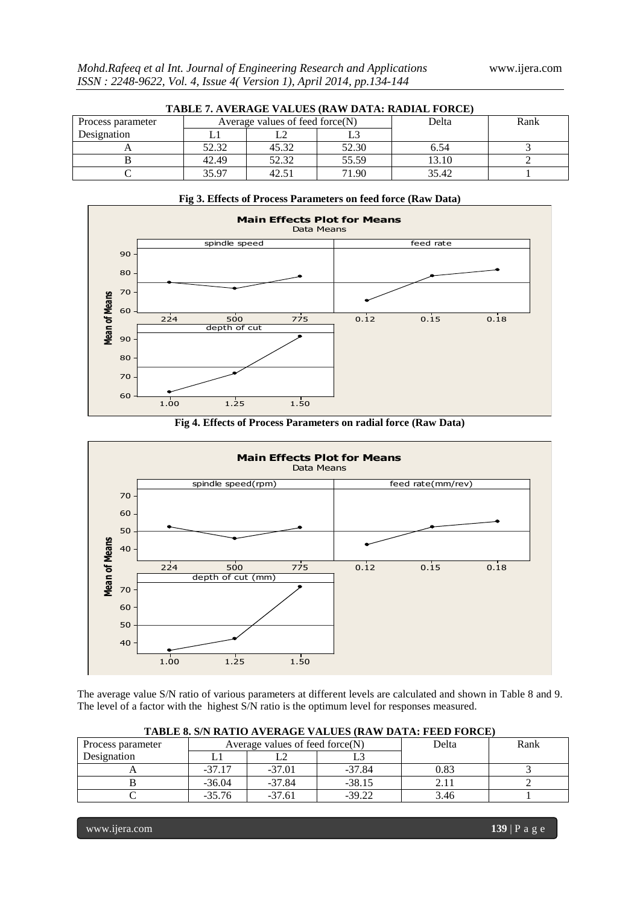| TABLE 7. AVERAGE VALUES (RAW DATA: RADIAL FORCE) |                                    |       |       |       |      |  |  |
|--------------------------------------------------|------------------------------------|-------|-------|-------|------|--|--|
| Process parameter                                | Average values of feed force $(N)$ |       |       | Delta | Rank |  |  |
| Designation                                      |                                    |       |       |       |      |  |  |
|                                                  | 52.32                              | 45.32 | 52.30 | 6.54  |      |  |  |
|                                                  | 42.49                              | 52.32 | 55.59 | 13.10 |      |  |  |
|                                                  | 35.97                              | 42.51 | 71.90 | 35.42 |      |  |  |



# **Fig 4. Effects of Process Parameters on radial force (Raw Data)**



The average value S/N ratio of various parameters at different levels are calculated and shown in Table 8 and 9. The level of a factor with the highest S/N ratio is the optimum level for responses measured.

| Process parameter |          | Average values of feed force $(N)$ | Delta    | Rank |  |  |  |  |
|-------------------|----------|------------------------------------|----------|------|--|--|--|--|
| Designation       |          |                                    |          |      |  |  |  |  |
|                   | $-37.17$ | $-37.01$                           | $-37.84$ | 0.83 |  |  |  |  |
|                   | $-36.04$ | $-37.84$                           | $-38.15$ |      |  |  |  |  |
|                   | $-35.76$ | $-37.61$                           | $-39.22$ | 3.46 |  |  |  |  |

#### **TABLE 8. S/N RATIO AVERAGE VALUES (RAW DATA: FEED FORCE)**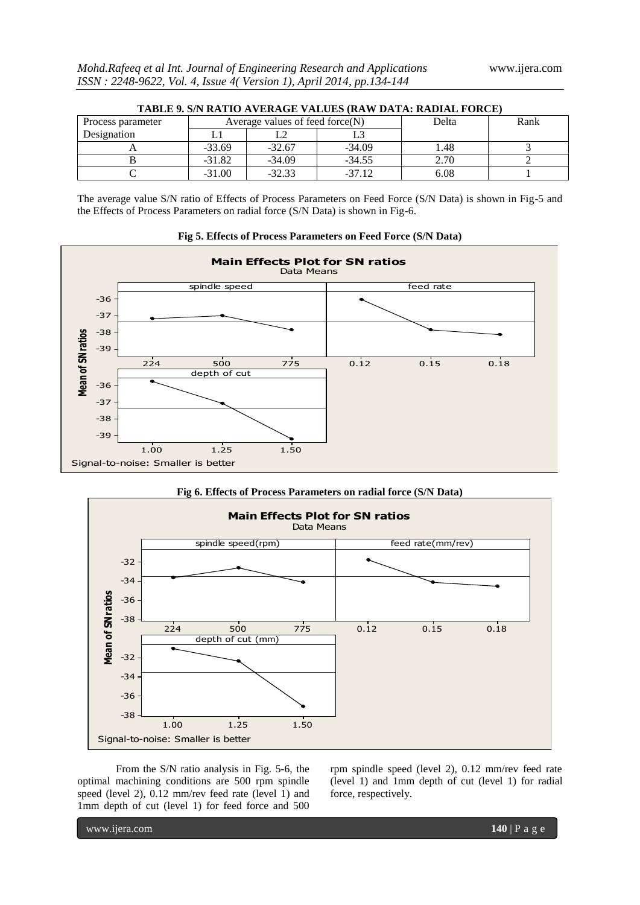| TABLE 9. S/N RATIO AVERAGE VALUES (RAW DATA: RADIAL FORCE) |                                    |          |          |       |      |  |  |
|------------------------------------------------------------|------------------------------------|----------|----------|-------|------|--|--|
| Process parameter                                          | Average values of feed force $(N)$ |          |          | Delta | Rank |  |  |
| Designation                                                |                                    |          |          |       |      |  |  |
|                                                            | $-33.69$                           | $-32.67$ | $-34.09$ | 1.48  |      |  |  |
|                                                            | $-31.82$                           | $-34.09$ | $-34.55$ | 2.70  |      |  |  |
|                                                            | $-31.00$                           | $-32.33$ | $-37.12$ | 6.08  |      |  |  |

The average value S/N ratio of Effects of Process Parameters on Feed Force (S/N Data) is shown in Fig-5 and the Effects of Process Parameters on radial force (S/N Data) is shown in Fig-6.



#### **Fig 5. Effects of Process Parameters on Feed Force (S/N Data)**

# **Fig 6. Effects of Process Parameters on radial force (S/N Data)**



From the S/N ratio analysis in Fig. 5-6, the optimal machining conditions are 500 rpm spindle speed (level 2), 0.12 mm/rev feed rate (level 1) and 1mm depth of cut (level 1) for feed force and 500

rpm spindle speed (level 2), 0.12 mm/rev feed rate (level 1) and 1mm depth of cut (level 1) for radial force, respectively.

www.ijera.com **140** | P a g e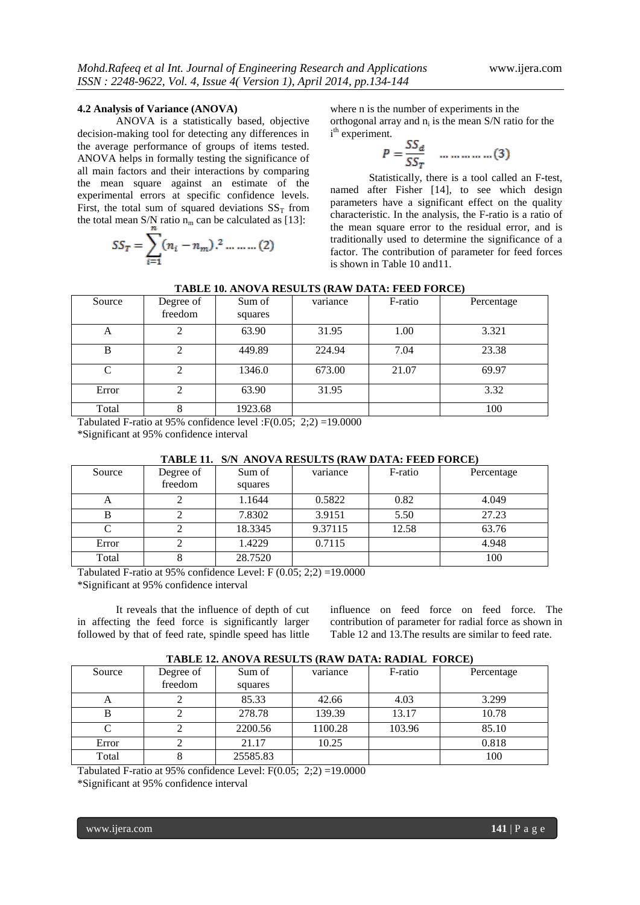#### **4.2 Analysis of Variance (ANOVA)**

ANOVA is a statistically based, objective decision-making tool for detecting any differences in the average performance of groups of items tested. ANOVA helps in formally testing the significance of all main factors and their interactions by comparing the mean square against an estimate of the experimental errors at specific confidence levels. First, the total sum of squared deviations  $SS<sub>T</sub>$  from the total mean S/N ratio  $n_m$  can be calculated as [13]:

$$
SS_T = \sum_{i=1}^{n} (n_i - n_m).^2 \dots \dots \dots (2)
$$

where n is the number of experiments in the orthogonal array and  $n_i$  is the mean S/N ratio for the i<sup>th</sup> experiment.

$$
P = \frac{SS_d}{SS_T} \quad \dots \dots \dots \dots \dots (3)
$$

Statistically, there is a tool called an F-test, named after Fisher [14], to see which design parameters have a significant effect on the quality characteristic. In the analysis, the F-ratio is a ratio of the mean square error to the residual error, and is traditionally used to determine the significance of a factor. The contribution of parameter for feed forces is shown in Table 10 and11.

| TADLE IV. ANOVA KESULTS (KAW DATA; FEED FOKCE) |                        |                   |          |         |            |  |  |  |  |
|------------------------------------------------|------------------------|-------------------|----------|---------|------------|--|--|--|--|
| Source                                         | Degree of<br>freedom   | Sum of<br>squares | variance | F-ratio | Percentage |  |  |  |  |
| А                                              |                        | 63.90             | 31.95    | 1.00    | 3.321      |  |  |  |  |
| B                                              | $\mathfrak{D}$         | 449.89            | 224.94   | 7.04    | 23.38      |  |  |  |  |
| $\mathcal{C}$                                  | 2                      | 1346.0            | 673.00   | 21.07   | 69.97      |  |  |  |  |
| Error                                          |                        | 63.90             | 31.95    |         | 3.32       |  |  |  |  |
| Total<br>_______                               | $\sim$<br>$\sim$ $  -$ | 1923.68           |          |         | 100        |  |  |  |  |

Tabulated F-ratio at 95% confidence level :  $F(0.05; 2;2) = 19.0000$ 

\*Significant at 95% confidence interval

| TADLE II. S/N ANOVA KESULIS (KAW DATA; FEED FORCE)<br>F-ratio<br>Sum of<br>Source<br>Degree of<br>Percentage<br>variance<br>freedom<br>squares<br>1.1644<br>0.5822<br>0.82<br>4.049<br>A |         |         |       |       |
|------------------------------------------------------------------------------------------------------------------------------------------------------------------------------------------|---------|---------|-------|-------|
|                                                                                                                                                                                          |         |         |       |       |
|                                                                                                                                                                                          |         |         |       |       |
|                                                                                                                                                                                          |         |         |       |       |
|                                                                                                                                                                                          | 7.8302  | 3.9151  | 5.50  | 27.23 |
|                                                                                                                                                                                          | 18.3345 | 9.37115 | 12.58 | 63.76 |
|                                                                                                                                                                                          | 1.4229  | 0.7115  |       | 4.948 |
|                                                                                                                                                                                          | 28.7520 |         |       | 100   |
|                                                                                                                                                                                          |         |         |       |       |

# **TABLE 11. S/N ANOVA RESULTS (RAW DATA: FEED FORCE)**

Tabulated F-ratio at 95% confidence Level:  $F(0.05; 2:2) = 19.0000$ 

\*Significant at 95% confidence interval

It reveals that the influence of depth of cut in affecting the feed force is significantly larger followed by that of feed rate, spindle speed has little

influence on feed force on feed force. The contribution of parameter for radial force as shown in Table 12 and 13.The results are similar to feed rate.

| Source | Degree of | Sum of   | variance | F-ratio | Percentage |
|--------|-----------|----------|----------|---------|------------|
|        | freedom   | squares  |          |         |            |
| A      |           | 85.33    | 42.66    | 4.03    | 3.299      |
|        |           | 278.78   | 139.39   | 13.17   | 10.78      |
|        |           | 2200.56  | 1100.28  | 103.96  | 85.10      |
| Error  |           | 21.17    | 10.25    |         | 0.818      |
| Total  |           | 25585.83 |          |         | 100        |

Tabulated F-ratio at 95% confidence Level:  $F(0.05; 2;2) = 19.0000$ 

\*Significant at 95% confidence interval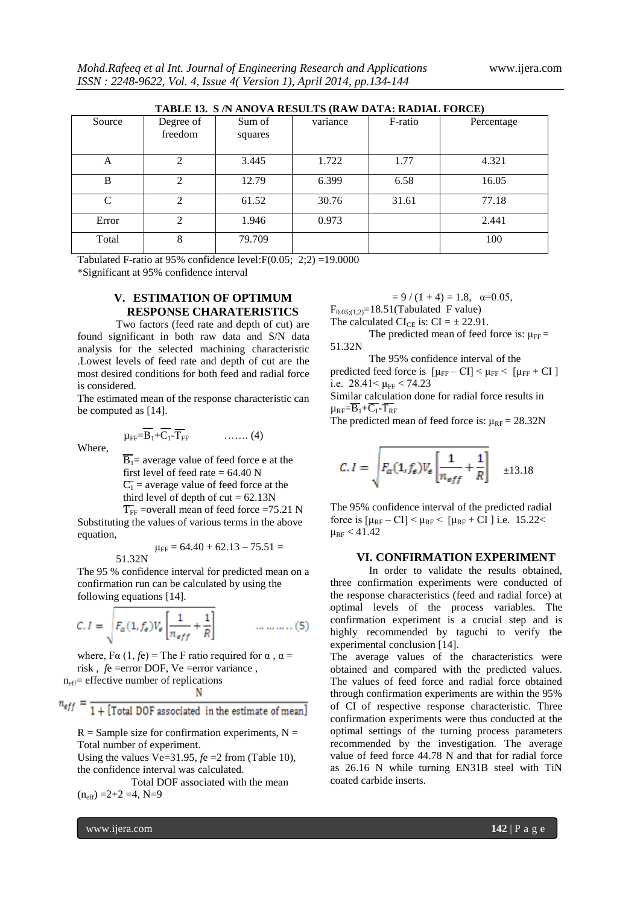| TABLE 13. S /N ANOVA RESULTS (RAW DATA: RADIAL FORCE) |                             |                   |          |         |            |  |  |
|-------------------------------------------------------|-----------------------------|-------------------|----------|---------|------------|--|--|
| Source                                                | Degree of<br>freedom        | Sum of<br>squares | variance | F-ratio | Percentage |  |  |
| A                                                     |                             | 3.445             | 1.722    | 1.77    | 4.321      |  |  |
| B                                                     | $\mathcal{D}_{\mathcal{A}}$ | 12.79             | 6.399    | 6.58    | 16.05      |  |  |
| C                                                     | C                           | 61.52             | 30.76    | 31.61   | 77.18      |  |  |
| Error                                                 | C                           | 1.946             | 0.973    |         | 2.441      |  |  |
| Total                                                 | 8                           | 79.709            |          |         | 100        |  |  |

**TABLE 13. S /N ANOVA RESULTS (RAW DATA: RADIAL FORCE)**

Tabulated F-ratio at 95% confidence level:  $F(0.05; 2:2) = 19.0000$ 

\*Significant at 95% confidence interval

# **V. ESTIMATION OF OPTIMUM RESPONSE CHARATERISTICS**

Two factors (feed rate and depth of cut) are found significant in both raw data and S/N data analysis for the selected machining characteristic .Lowest levels of feed rate and depth of cut are the most desired conditions for both feed and radial force is considered.

The estimated mean of the response characteristic can be computed as [14].

$$
\mu_{\text{FF}} = \overline{B_1} + \overline{C_1} - \overline{T_{\text{FF}}}
$$
 (4)

Where,

 $\overline{B_1}$ = average value of feed force e at the first level of feed rate  $= 64.40$  N  $\overline{C_1}$  = average value of feed force at the third level of depth of  $cut = 62.13N$ 

 $\overline{T}_{FF}$  =overall mean of feed force =75.21 N Substituting the values of various terms in the above equation,

$$
\mu_{\text{FF}} = 64.40 + 62.13 - 75.51 = 51.32N
$$

The 95 % confidence interval for predicted mean on a confirmation run can be calculated by using the following equations [14].

$$
C. I = \sqrt{F_{\alpha}(1, f_{e})V_{e}\left[\frac{1}{n_{eff}} + \frac{1}{R}\right]}
$$
 .... .........(5)

where, F $\alpha$  (1, *f*e) = The F ratio required for  $\alpha$ ,  $\alpha$  = risk , *f*e =error DOF, Ve =error variance , neff= effective number of replications N

1 + [Total DOF associated in the estimate of mean]

 $R =$  Sample size for confirmation experiments,  $N =$ Total number of experiment.

Using the values Ve= $31.95$ ,  $f$ e = $2$  from (Table 10), the confidence interval was calculated.

 Total DOF associated with the mean  $(n_{\text{eff}}) = 2 + 2 = 4, N = 9$ 

 $= 9 / (1 + 4) = 1.8, \alpha = 0.05,$ 

 $F_{0.05;(1,2)}$ =18.51(Tabulated F value)

The calculated CI<sub>CE</sub> is: CI =  $\pm$  22.91.

The predicted mean of feed force is:  $\mu_{FF}$  = 51.32N

The 95% confidence interval of the

predicted feed force is  $[\mu_{FF} - CI] < \mu_{FF} < [\mu_{FF} + CI]$ i.e.  $28.41 \leq \mu$ FF  $\leq 74.23$ 

Similar calculation done for radial force results in  $\mu_{RF}=\overline{B_1}+\overline{C_1}\cdot\overline{T_{RF}}$ 

The predicted mean of feed force is:  $\mu_{RF} = 28.32N$ 

$$
C.I = \sqrt{F_{\alpha}(1, f_{\epsilon})V_{\epsilon}\left[\frac{1}{n_{eff}} + \frac{1}{R}\right]} \quad \pm 13.18
$$

The 95% confidence interval of the predicted radial force is  $[\mu_{RF} - CI] < \mu_{RF} < [\mu_{RF} + CI]$  i.e. 15.22<  $\mu_{RF}$  < 41.42

## **VI. CONFIRMATION EXPERIMENT**

In order to validate the results obtained, three confirmation experiments were conducted of the response characteristics (feed and radial force) at optimal levels of the process variables. The confirmation experiment is a crucial step and is highly recommended by taguchi to verify the experimental conclusion [14].

The average values of the characteristics were obtained and compared with the predicted values. The values of feed force and radial force obtained through confirmation experiments are within the 95% of CI of respective response characteristic. Three confirmation experiments were thus conducted at the optimal settings of the turning process parameters recommended by the investigation. The average value of feed force 44.78 N and that for radial force as 26.16 N while turning EN31B steel with TiN coated carbide inserts.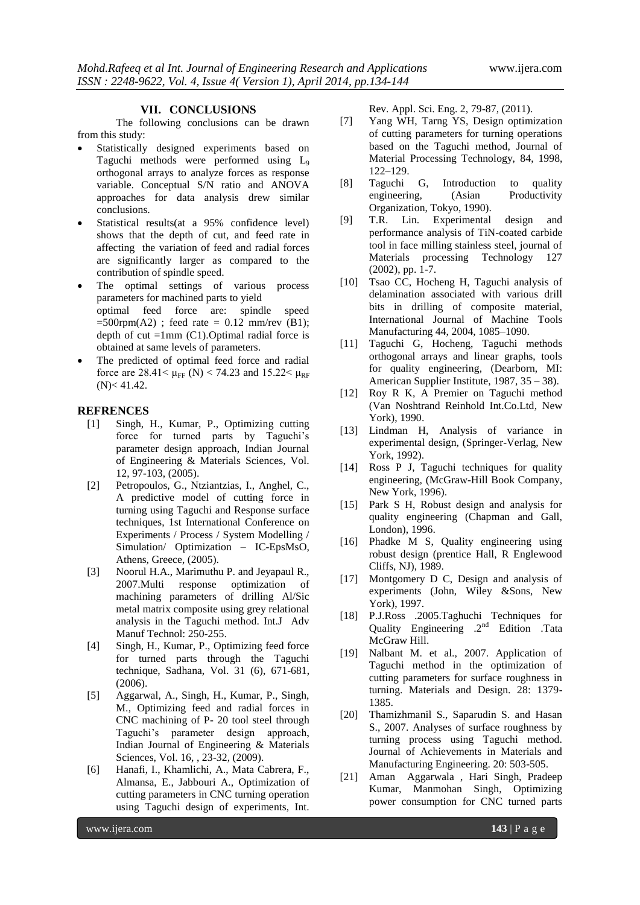#### **VII. CONCLUSIONS**

The following conclusions can be drawn from this study:

- Statistically designed experiments based on Taguchi methods were performed using L<sub>9</sub> orthogonal arrays to analyze forces as response variable. Conceptual S/N ratio and ANOVA approaches for data analysis drew similar conclusions.
- Statistical results(at a 95% confidence level) shows that the depth of cut, and feed rate in affecting the variation of feed and radial forces are significantly larger as compared to the contribution of spindle speed.
- The optimal settings of various process parameters for machined parts to yield optimal feed force are: spindle speed  $=500$ rpm(A2); feed rate  $= 0.12$  mm/rev (B1); depth of cut  $=1$ mm (C1). Optimal radial force is obtained at same levels of parameters.
- The predicted of optimal feed force and radial force are  $28.41 < \mu_{\text{FF}}$  (N) < 74.23 and 15.22 $< \mu_{\text{RF}}$  $(N) < 41.42$ .

#### **REFRENCES**

- [1] Singh, H., Kumar, P., Optimizing cutting force for turned parts by Taguchi's parameter design approach, Indian Journal of Engineering & Materials Sciences, Vol. 12, 97-103, (2005).
- [2] Petropoulos, G., Ntziantzias, I., Anghel, C., A predictive model of cutting force in turning using Taguchi and Response surface techniques, 1st International Conference on Experiments / Process / System Modelling / Simulation/ Optimization – IC-EpsMsO, Athens, Greece, (2005).
- [3] Noorul H.A., Marimuthu P. and Jeyapaul R., 2007.Multi response optimization of machining parameters of drilling Al/Sic metal matrix composite using grey relational analysis in the Taguchi method. Int.J Adv Manuf Technol: 250-255.
- [4] Singh, H., Kumar, P., Optimizing feed force for turned parts through the Taguchi technique, Sadhana, Vol. 31 (6), 671-681, (2006).
- [5] Aggarwal, A., Singh, H., Kumar, P., Singh, M., Optimizing feed and radial forces in CNC machining of P- 20 tool steel through Taguchi's parameter design approach, Indian Journal of Engineering & Materials Sciences, Vol. 16, , 23-32, (2009).
- [6] Hanafi, I., Khamlichi, A., Mata Cabrera, F., Almansa, E., Jabbouri A., Optimization of cutting parameters in CNC turning operation using Taguchi design of experiments, Int.

Rev. Appl. Sci. Eng. 2, 79-87, (2011).

- [7] Yang WH, Tarng YS, Design optimization of cutting parameters for turning operations based on the Taguchi method, Journal of Material Processing Technology, 84, 1998, 122–129.
- [8] Taguchi G, Introduction to quality engineering, (Asian Productivity Organization, Tokyo, 1990).
- [9] T.R. Lin. Experimental design and performance analysis of TiN-coated carbide tool in face milling stainless steel, journal of Materials processing Technology 127 (2002), pp. 1-7.
- [10] Tsao CC, Hocheng H, Taguchi analysis of delamination associated with various drill bits in drilling of composite material, International Journal of Machine Tools Manufacturing 44, 2004, 1085–1090.
- [11] Taguchi G, Hocheng, Taguchi methods orthogonal arrays and linear graphs, tools for quality engineering, (Dearborn, MI: American Supplier Institute, 1987, 35 – 38).
- [12] Roy R K, A Premier on Taguchi method (Van Noshtrand Reinhold Int.Co.Ltd, New York), 1990.
- [13] Lindman H, Analysis of variance in experimental design, (Springer-Verlag, New York, 1992).
- [14] Ross P J, Taguchi techniques for quality engineering, (McGraw-Hill Book Company, New York, 1996).
- [15] Park S H, Robust design and analysis for quality engineering (Chapman and Gall, London), 1996.
- [16] Phadke M S, Quality engineering using robust design (prentice Hall, R Englewood Cliffs, NJ), 1989.
- [17] Montgomery D C, Design and analysis of experiments (John, Wiley &Sons, New York), 1997.
- [18] P.J.Ross .2005.Taghuchi Techniques for Quality Engineering .2<sup>nd</sup> Edition .Tata McGraw Hill.
- [19] Nalbant M. et al., 2007. Application of Taguchi method in the optimization of cutting parameters for surface roughness in turning. Materials and Design. 28: 1379- 1385.
- [20] Thamizhmanil S., Saparudin S. and Hasan S., 2007. Analyses of surface roughness by turning process using Taguchi method. Journal of Achievements in Materials and Manufacturing Engineering. 20: 503-505.
- [21] Aman Aggarwala , Hari Singh, Pradeep Kumar, Manmohan Singh, Optimizing power consumption for CNC turned parts